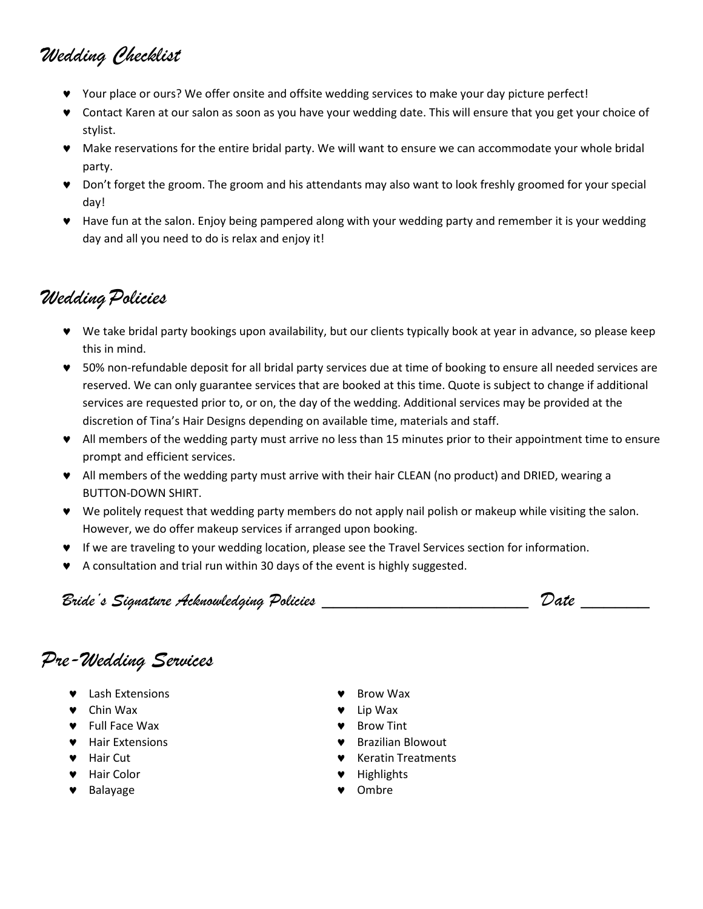# *Wedding Checklist*

- ♥ Your place or ours? We offer onsite and offsite wedding services to make your day picture perfect!
- ♥ Contact Karen at our salon as soon as you have your wedding date. This will ensure that you get your choice of stylist.
- ♥ Make reservations for the entire bridal party. We will want to ensure we can accommodate your whole bridal party.
- ♥ Don't forget the groom. The groom and his attendants may also want to look freshly groomed for your special day!
- ♥ Have fun at the salon. Enjoy being pampered along with your wedding party and remember it is your wedding day and all you need to do is relax and enjoy it!

# *WeddingPolicies*

- ♥ We take bridal party bookings upon availability, but our clients typically book at year in advance, so please keep this in mind.
- ♥ 50% non-refundable deposit for all bridal party services due at time of booking to ensure all needed services are reserved. We can only guarantee services that are booked at this time. Quote is subject to change if additional services are requested prior to, or on, the day of the wedding. Additional services may be provided at the discretion of Tina's Hair Designs depending on available time, materials and staff.
- ♥ All members of the wedding party must arrive no less than 15 minutes prior to their appointment time to ensure prompt and efficient services.
- ♥ All members of the wedding party must arrive with their hair CLEAN (no product) and DRIED, wearing a BUTTON-DOWN SHIRT.
- ♥ We politely request that wedding party members do not apply nail polish or makeup while visiting the salon. However, we do offer makeup services if arranged upon booking.
- ♥ If we are traveling to your wedding location, please see the Travel Services section for information.
- ♥ A consultation and trial run within 30 days of the event is highly suggested.

*Bride's Signature Acknowledging Policies \_\_\_\_\_\_\_\_\_\_\_\_\_\_\_\_\_\_ Date \_\_\_\_\_\_*

# *Pre-Wedding Services*

- ♥ Lash Extensions ♥ Brow Wax
- ♥ Chin Wax ♥ Lip Wax
- ♥ Full Face Wax ♥ Brow Tint
- 
- 
- ♥ Hair Color ♥ Highlights
- ♥ Balayage ♥ Ombre
- 
- 
- 
- ♥ Hair Extensions ♥ Brazilian Blowout
- ♥ Hair Cut ♥ Keratin Treatments
	-
	-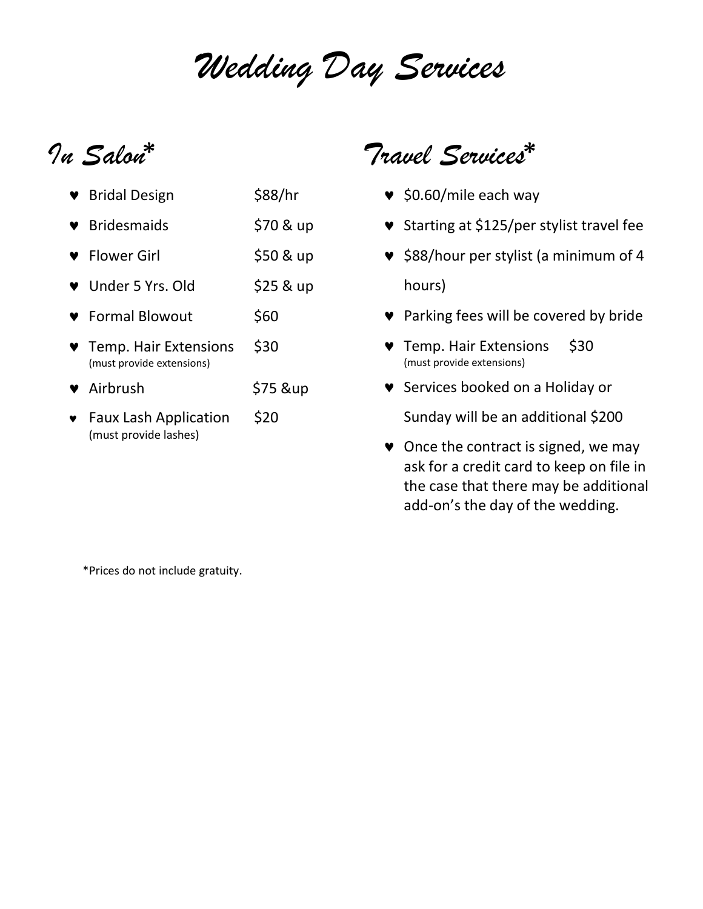*Wedding Day Services*

*In Salon\**

| ♥ Bridal Design                                         | \$88/hr   |
|---------------------------------------------------------|-----------|
| ♥ Bridesmaids                                           | \$70 & up |
| $\bullet$ Flower Girl                                   | \$50 & up |
| ♥ Under 5 Yrs. Old                                      | $$25&$ up |
| ♥ Formal Blowout                                        | \$60      |
| ♥ Temp. Hair Extensions<br>(must provide extensions)    | \$30      |
| Airbrush                                                | \$75 &up  |
| <b>•</b> Faux Lash Application<br>(must provide lashes) | \$20      |

*Travel Services\**

- ♥ \$0.60/mile each way
- ♥ Starting at \$125/per stylist travel fee
- ♥ \$88/hour per stylist (a minimum of 4 hours)
- ♥ Parking fees will be covered by bride
- Temp. Hair Extensions \$30 (must provide extensions)
- ♥ Services booked on a Holiday or

Sunday will be an additional \$200

♥ Once the contract is signed, we may ask for a credit card to keep on file in the case that there may be additional add-on's the day of the wedding.

\*Prices do not include gratuity.